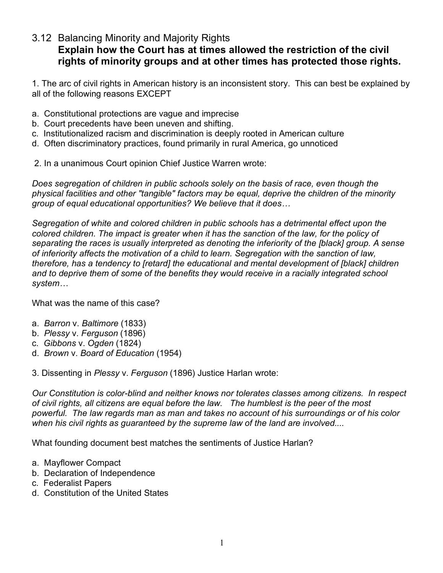## 3.12 Balancing Minority and Majority Rights

## **Explain how the Court has at times allowed the restriction of the civil rights of minority groups and at other times has protected those rights.**

1. The arc of civil rights in American history is an inconsistent story. This can best be explained by all of the following reasons EXCEPT

- a. Constitutional protections are vague and imprecise
- b. Court precedents have been uneven and shifting.
- c. Institutionalized racism and discrimination is deeply rooted in American culture
- d. Often discriminatory practices, found primarily in rural America, go unnoticed
- 2. In a unanimous Court opinion Chief Justice Warren wrote:

*Does segregation of children in public schools solely on the basis of race, even though the physical facilities and other "tangible" factors may be equal, deprive the children of the minority group of equal educational opportunities? We believe that it does…*

*Segregation of white and colored children in public schools has a detrimental effect upon the colored children. The impact is greater when it has the sanction of the law, for the policy of separating the races is usually interpreted as denoting the inferiority of the [black] group. A sense of inferiority affects the motivation of a child to learn. Segregation with the sanction of law, therefore, has a tendency to [retard] the educational and mental development of [black] children and to deprive them of some of the benefits they would receive in a racially integrated school system…*

What was the name of this case?

- a. *Barron* v. *Baltimore* (1833)
- b. *Plessy* v. *Ferguson* (1896)
- c. *Gibbons* v. *Ogden* (1824)
- d. *Brown* v. *Board of Education* (1954)

3. Dissenting in *Plessy* v. *Ferguson* (1896) Justice Harlan wrote:

*Our Constitution is color-blind and neither knows nor tolerates classes among citizens. In respect of civil rights, all citizens are equal before the law. The humblest is the peer of the most powerful. The law regards man as man and takes no account of his surroundings or of his color when his civil rights as guaranteed by the supreme law of the land are involved....*

What founding document best matches the sentiments of Justice Harlan?

- a. Mayflower Compact
- b. Declaration of Independence
- c. Federalist Papers
- d. Constitution of the United States